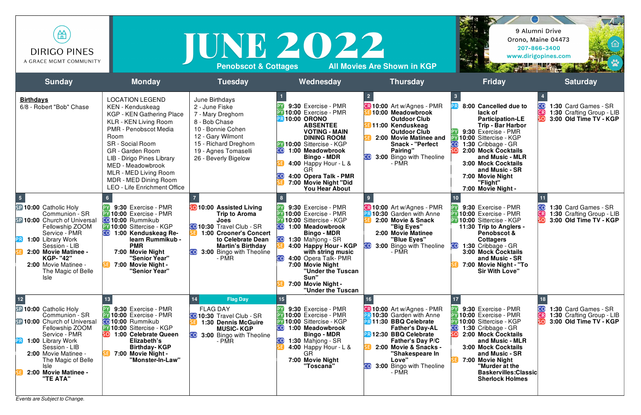| 笽<br><b>DIRIGO PINES</b><br>A GRACE MGMT COMMUNITY                                                                                                                                                                                                                                   |                                                                                                                                                                                                                                                                                                                                                          | TUNE 2022<br><b>Penobscot &amp; Cottages</b>                                                                                                                                                                                                   |                                                                                                                                                                                                                                                                                                                                                | <b>All Movies Are Shown in KGP</b>                                                                                                                                                                                                                                                | 9 Alumni Drive                                                                                                                                                                                                                                                                                                                           | $\sqrt{4}$<br>Orono, Maine 04473<br>207-866-3400<br>www.dirigopines.com            |
|--------------------------------------------------------------------------------------------------------------------------------------------------------------------------------------------------------------------------------------------------------------------------------------|----------------------------------------------------------------------------------------------------------------------------------------------------------------------------------------------------------------------------------------------------------------------------------------------------------------------------------------------------------|------------------------------------------------------------------------------------------------------------------------------------------------------------------------------------------------------------------------------------------------|------------------------------------------------------------------------------------------------------------------------------------------------------------------------------------------------------------------------------------------------------------------------------------------------------------------------------------------------|-----------------------------------------------------------------------------------------------------------------------------------------------------------------------------------------------------------------------------------------------------------------------------------|------------------------------------------------------------------------------------------------------------------------------------------------------------------------------------------------------------------------------------------------------------------------------------------------------------------------------------------|------------------------------------------------------------------------------------|
| <b>Sunday</b>                                                                                                                                                                                                                                                                        | <b>Monday</b>                                                                                                                                                                                                                                                                                                                                            | <b>Tuesday</b>                                                                                                                                                                                                                                 | Wednesday                                                                                                                                                                                                                                                                                                                                      | <b>Thursday</b>                                                                                                                                                                                                                                                                   | <b>Friday</b>                                                                                                                                                                                                                                                                                                                            | <b>Saturday</b>                                                                    |
| <b>Birthdays</b><br>6/8 - Robert "Bob" Chase                                                                                                                                                                                                                                         | <b>LOCATION LEGEND</b><br><b>KEN</b> - Kenduskeag<br><b>KGP - KEN Gathering Place</b><br>KLR - KEN Living Room<br><b>PMR - Penobscot Media</b><br>Room<br><b>SR</b> - Social Room<br><b>GR</b> - Garden Room<br>LIB - Dirigo Pines Library<br>MED - Meadowbrook<br>MLR - MED Living Room<br>MDR - MED Dining Room<br><b>LEO - Life Enrichment Office</b> | June Birthdays<br>2 - June Fiske<br>7 - Mary Dreghorn<br>8 - Bob Chase<br>10 - Bonnie Cohen<br>12 - Gary Wilmont<br>15 - Richard Dreghorn<br>19 - Agnes Tomaselli<br>26 - Beverly Bigelow                                                      | 9:30 Exercise - PMR<br>10:00 Exercise - PMR<br>10:00 ORONO<br><b>ABSENTEE</b><br><b>VOTING - MAIN</b><br><b>DINING ROOM</b><br>PY 10:00 Sittercise - KGP<br>1:00 Meadowbrook<br>CO.<br><b>Bingo - MDR</b><br>4:00 Happy Hour - $L$ &<br>4:00 Opera Talk - PMR<br>7:00 Movie Night "Did<br><b>You Hear About</b>                                | <b>CR 10:00</b> Art w/Agnes - PMR<br>10:00 Meadowbrook<br><b>Outdoor Club</b><br>11:00 Kenduskeag<br><b>Outdoor Club</b><br>2:00 Movie Matinee and<br><b>Snack - "Perfect</b><br>Pairing"<br><b>CO</b> 3:00 Bingo with Theoline<br>- PMR                                          | 8:00 Cancelled due to<br>lack of<br><b>Participation-LE</b><br><b>Trip - Bar Harbor</b><br>9:30 Exercise - PMR<br>10:00 Sittercise - KGP<br>CO <sub>.</sub><br>1:30 Cribbage - GR<br><b>2:00 Mock Cocktails</b><br>and Music - MLR<br><b>3:00 Mock Cocktails</b><br>and Music - SR<br>7:00 Movie Night<br>"Flight"<br>7:00 Movie Night - | 1:30 Card Games - SR<br>1:30 Crafting Group - LIB<br>3:00 Old Time TV - KGP        |
| 5 <sub>5</sub><br>SP 10:00 Catholic Holy<br>Communion - SR<br><b>SP 10:00 Church of Universal</b><br>Fellowship ZOOM<br>Service - PMR<br>1:00 Library Work<br>Session - LIB<br>2:00 Movie Matinee -<br><b>KGP- "42"</b><br>2:00 Movie Matinee -<br>The Magic of Belle<br><b>Isle</b> | 9:30 Exercise - PMR<br>10:00 Exercise - PMR<br><b>CO</b> 10:00 Rummikub<br>PY 10:00 Sittercise - KGP<br><b>CO</b> 1:00 Kenduskeag Re-<br>learn Rummikub -<br><b>PMR</b><br>7:00 Movie Night<br>"Senior Year"<br>7:00 Movie Night -<br>"Senior Year"                                                                                                      | <b>SO</b> 10:00 Assisted Living<br><b>Trip to Aroma</b><br><b>Joes</b><br><b>CO</b> 10:30 Travel Club - SR<br><b>1:00 Crooner's Concert</b><br>to Celebrate Dean<br><b>Martin's Birthday</b><br>3:00 Bingo with Theoline<br><b>CO</b><br>- PMR | 9:30 Exercise - PMR<br>10:00 Exercise - PMR<br>10:00 Sittercise - KGP<br>1:00 Meadowbrook<br>CO I<br><b>Bingo - MDR</b><br>CO <sub>1</sub><br>1:30 Mahjong - SR<br>4:00 Happy Hour - KGP<br>with string music<br><b>CO</b><br>4:00 Opera Talk- PMR<br>7:00 Movie Night<br>"Under the Tuscan<br>Sun"<br>7:00 Movie Night -<br>"Under the Tuscan | <b>CR 10:00</b> Art w/Agnes - PMR<br><b>PR 10:30 Garden with Anne</b><br>2:00 Movie & Snack<br>"Big Eyes"<br>2:00 Movie Matinee<br>"Blue Eyes"<br>3:00 Bingo with Theoline<br>CO<br>- PMR                                                                                         | 9:30 Exercise - PMR<br>10:00 Exercise - PMR<br>PY 10:00 Sittercise - KGP<br>11:30 Trip to Anglers -<br><b>Penobscot &amp;</b><br><b>Cottagers</b><br>1:30 Cribbage - GR<br>3:00 Mock Cocktails<br>and Music - SR<br>7:00 Movie Night - "To<br><b>Sir With Love"</b>                                                                      | 1:30 Card Games - SR<br>CR<br>1:30 Crafting Group - LIB<br>3:00 Old Time TV - KGP  |
| $12$<br>SP 10:00 Catholic Holy<br>Communion - SR<br><b>SP 10:00 Church of Universal</b><br>Fellowship ZOOM<br>Service - PMR<br>1:00 Library Work<br>[PR]<br>Session - LIB<br>2:00 Movie Matinee -<br>The Magic of Belle<br><b>Isle</b><br>2:00 Movie Matinee -<br>"TE ATA"           | 9:30 Exercise - PMR<br>10:00 Exercise - PMR<br>CO <sub>10:00</sub> Rummikub<br><b>PY 10:00 Sittercise - KGP</b><br>1:00 Celebrate Queen<br>Elizabeth's<br><b>Birthday-KGP</b><br>7:00 Movie Night -<br>"Monster-In-Law"                                                                                                                                  | <b>Flag Day</b><br><b>FLAG DAY</b><br><b>CO</b> 10:30 Travel Club - SR<br>1:30 Dennis McGuire<br><b>MUSIC-KGP</b><br>3:00 Bingo with Theoline<br><b>CO</b><br>- PMR                                                                            | 9:30 Exercise - PMR<br>10:00 Exercise - PMR<br>10:00 Sittercise - KGP<br>1:00 Meadowbrook<br><b>CO</b><br><b>Bingo - MDR</b><br>1:30 Mahjong - SR<br>4:00 Happy Hour - $L$ &<br>GR<br>7:00 Movie Night<br>"Toscana"                                                                                                                            | <b>CR 10:00</b> Art w/Agnes - PMR<br>10:30 Garden with Anne<br><b>PR11:30 BBQ Celebrate</b><br><b>Father's Day-AL</b><br><b>PR12:30 BBQ Celebrate</b><br><b>Father's Day P/C</b><br>2:00 Movie & Snacks -<br>"Shakespeare In<br>Love"<br>3:00 Bingo with Theoline<br>CO.<br>- PMR | 9:30 Exercise - PMR<br>10:00 Exercise - PMR<br>10:00 Sittercise - KGP<br>1:30 Cribbage - GR<br>2:00 Mock Cocktails<br>and Music - MLR<br><b>3:00 Mock Cocktails</b><br>and Music - SR<br>7:00 Movie Night<br>"Murder at the<br><b>Baskervilles: Classic</b><br><b>Sherlock Holmes</b>                                                    | 1:30 Card Games - SR<br>CR)<br>1:30 Crafting Group - LIB<br>3:00 Old Time TV - KGP |